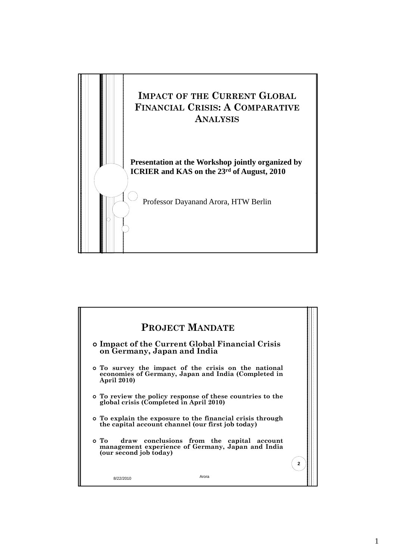

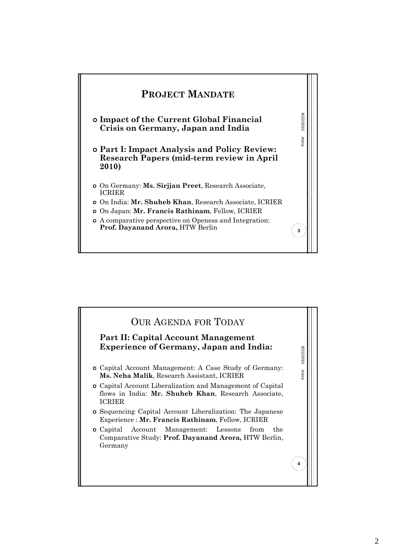

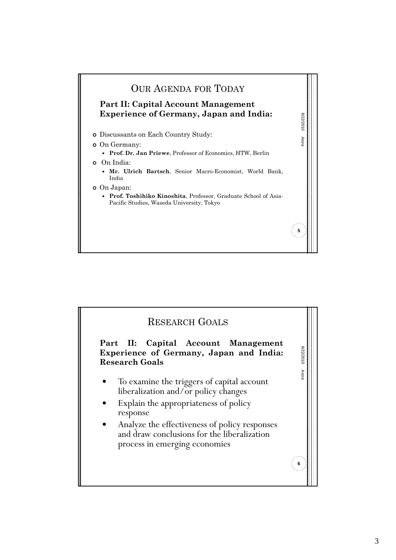